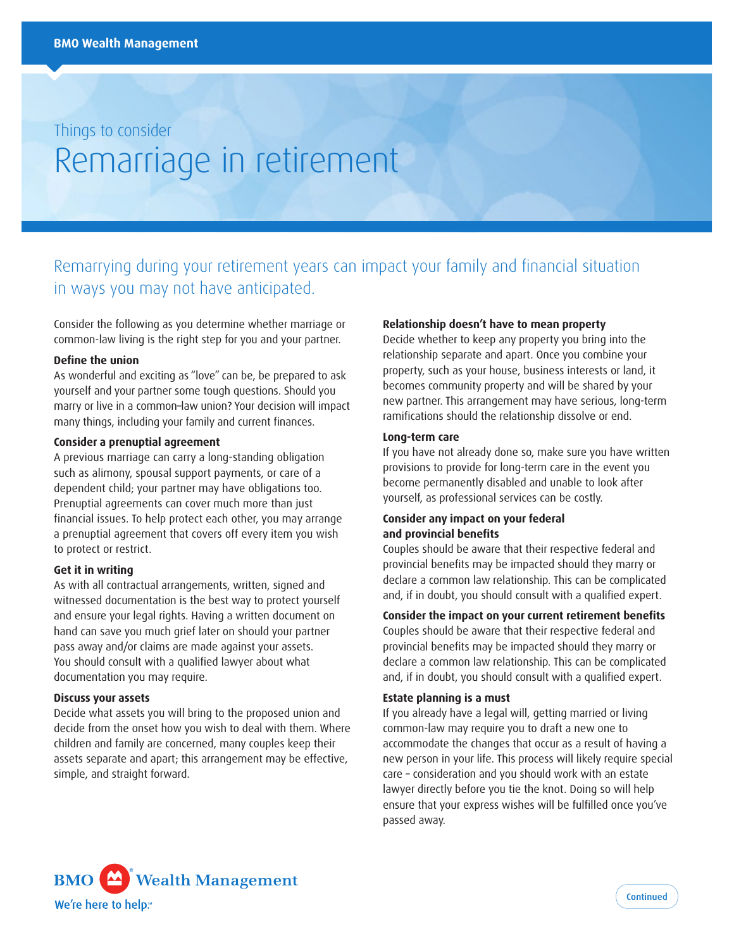# Things to consider Remarriage in retirement

# Remarrying during your retirement years can impact your family and financial situation in ways you may not have anticipated.

Consider the following as you determine whether marriage or common-law living is the right step for you and your partner.

# **Define the union**

As wonderful and exciting as "love" can be, be prepared to ask yourself and your partner some tough questions. Should you marry or live in a common–law union? Your decision will impact many things, including your family and current finances.

# **Consider a prenuptial agreement**

A previous marriage can carry a long-standing obligation such as alimony, spousal support payments, or care of a dependent child; your partner may have obligations too. Prenuptial agreements can cover much more than just financial issues. To help protect each other, you may arrange a prenuptial agreement that covers off every item you wish to protect or restrict.

# **Get it in writing**

As with all contractual arrangements, written, signed and witnessed documentation is the best way to protect yourself and ensure your legal rights. Having a written document on hand can save you much grief later on should your partner pass away and/or claims are made against your assets. You should consult with a qualified lawyer about what documentation you may require.

#### **Discuss your assets**

Decide what assets you will bring to the proposed union and decide from the onset how you wish to deal with them. Where children and family are concerned, many couples keep their assets separate and apart; this arrangement may be effective, simple, and straight forward.

# **Relationship doesn't have to mean property**

Decide whether to keep any property you bring into the relationship separate and apart. Once you combine your property, such as your house, business interests or land, it becomes community property and will be shared by your new partner. This arrangement may have serious, long-term ramifications should the relationship dissolve or end.

# **Long-term care**

If you have not already done so, make sure you have written provisions to provide for long-term care in the event you become permanently disabled and unable to look after yourself, as professional services can be costly.

# **Consider any impact on your federal and provincial benefits**

Couples should be aware that their respective federal and provincial benefits may be impacted should they marry or declare a common law relationship. This can be complicated and, if in doubt, you should consult with a qualified expert.

# **Consider the impact on your current retirement benefits**

Couples should be aware that their respective federal and provincial benefits may be impacted should they marry or declare a common law relationship. This can be complicated and, if in doubt, you should consult with a qualified expert.

#### **Estate planning is a must**

If you already have a legal will, getting married or living common-law may require you to draft a new one to accommodate the changes that occur as a result of having a new person in your life. This process will likely require special care – consideration and you should work with an estate lawyer directly before you tie the knot. Doing so will help ensure that your express wishes will be fulfilled once you've passed away.